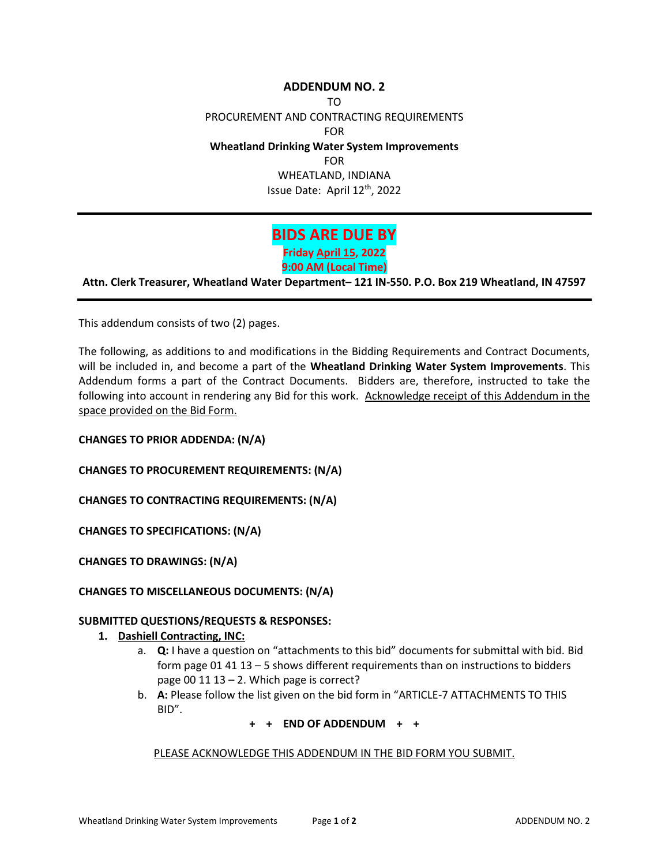## **ADDENDUM NO. 2** TO PROCUREMENT AND CONTRACTING REQUIREMENTS FOR **Wheatland Drinking Water System Improvements** FOR WHEATLAND, INDIANA Issue Date: April 12th, 2022

# **BIDS ARE DUE BY**

**Friday April 15, 2022 9:00 AM (Local Time)**

**Attn. Clerk Treasurer, Wheatland Water Department– 121 IN-550. P.O. Box 219 Wheatland, IN 47597**

This addendum consists of two (2) pages.

The following, as additions to and modifications in the Bidding Requirements and Contract Documents, will be included in, and become a part of the **Wheatland Drinking Water System Improvements**. This Addendum forms a part of the Contract Documents. Bidders are, therefore, instructed to take the following into account in rendering any Bid for this work. Acknowledge receipt of this Addendum in the space provided on the Bid Form.

**CHANGES TO PRIOR ADDENDA: (N/A)** 

**CHANGES TO PROCUREMENT REQUIREMENTS: (N/A)** 

**CHANGES TO CONTRACTING REQUIREMENTS: (N/A)** 

**CHANGES TO SPECIFICATIONS: (N/A)**

**CHANGES TO DRAWINGS: (N/A)**

### **CHANGES TO MISCELLANEOUS DOCUMENTS: (N/A)**

### **SUBMITTED QUESTIONS/REQUESTS & RESPONSES:**

### **1. Dashiell Contracting, INC:**

- a. **Q:** I have a question on "attachments to this bid" documents for submittal with bid. Bid form page 01 41 13 – 5 shows different requirements than on instructions to bidders page 00 11 13 – 2. Which page is correct?
- b. **A:** Please follow the list given on the bid form in "ARTICLE-7 ATTACHMENTS TO THIS BID".

### **+ + END OF ADDENDUM + +**

PLEASE ACKNOWLEDGE THIS ADDENDUM IN THE BID FORM YOU SUBMIT.